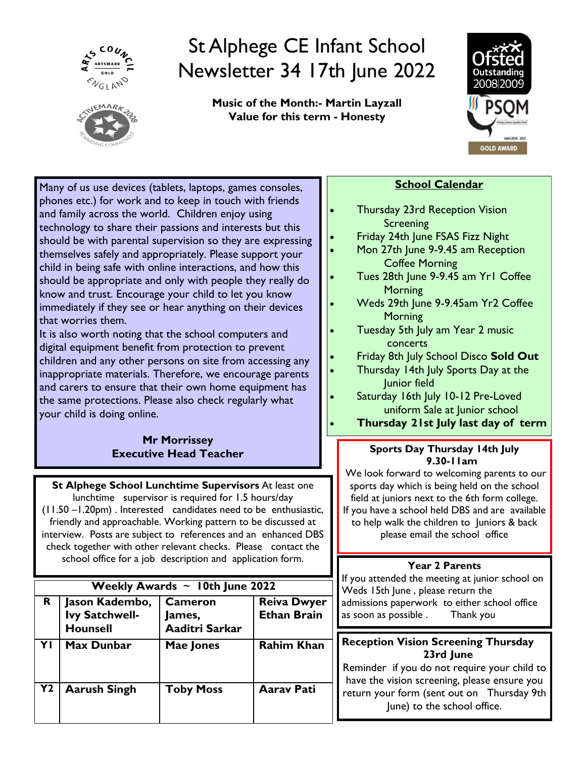



**Music of the Month:- Martin Layzall Value for this term - Honesty**



Many of us use devices (tablets, laptops, games consoles, phones etc.) for work and to keep in touch with friends and family across the world. Children enjoy using technology to share their passions and interests but this should be with parental supervision so they are expressing themselves safely and appropriately. Please support your child in being safe with online interactions, and how this should be appropriate and only with people they really do know and trust. Encourage your child to let you know immediately if they see or hear anything on their devices that worries them.

It is also worth noting that the school computers and digital equipment benefit from protection to prevent children and any other persons on site from accessing any inappropriate materials. Therefore, we encourage parents and carers to ensure that their own home equipment has the same protections. Please also check regularly what your child is doing online.

# **Mr Morrissey Executive Head Teacher**

**St Alphege School Lunchtime Supervisors** At least one lunchtime supervisor is required for 1.5 hours/day

(11.50 –1.20pm) . Interested candidates need to be enthusiastic, friendly and approachable. Working pattern to be discussed at interview. Posts are subject to references and an enhanced DBS check together with other relevant checks. Please contact the school office for a job description and application form.

| Weekly Awards $\sim$ 10th June 2022 |                                                     |                                            |                                          |  |  |  |  |  |
|-------------------------------------|-----------------------------------------------------|--------------------------------------------|------------------------------------------|--|--|--|--|--|
| R.                                  | Jason Kadembo,<br>Ivy Satchwell-<br><b>Hounsell</b> | <b>Cameron</b><br>James,<br>Aaditri Sarkar | <b>Reiva Dwyer</b><br><b>Ethan Brain</b> |  |  |  |  |  |
| YI                                  | Max Dunbar                                          | Mae Jones                                  | <b>Rahim Khan</b>                        |  |  |  |  |  |
| <b>Y2</b>                           | <b>Aarush Singh</b>                                 | <b>Toby Moss</b>                           | <b>Aarav Pati</b>                        |  |  |  |  |  |

# **School Calendar**

- Thursday 23rd Reception Vision **Screening**
- Friday 24th June FSAS Fizz Night
	- Mon 27th June 9-9.45 am Reception Coffee Morning
- Tues 28th June 9-9.45 am Yr1 Coffee **Morning**
- Weds 29th June 9-9.45am Yr2 Coffee **Morning**
- Tuesday 5th July am Year 2 music concerts
- Friday 8th July School Disco **Sold Out**
- Thursday 14th July Sports Day at the Junior field
- Saturday 16th July 10-12 Pre-Loved uniform Sale at Junior school
- **Thursday 21st July last day of term**

# **Sports Day Thursday 14th July 9.30-11am**

We look forward to welcoming parents to our sports day which is being held on the school field at juniors next to the 6th form college. If you have a school held DBS and are available to help walk the children to Juniors & back please email the school office

# **Year 2 Parents**

If you attended the meeting at junior school on Weds 15th June, please return the admissions paperwork to either school office as soon as possible . Thank you

# **Reception Vision Screening Thursday 23rd June**

Reminder if you do not require your child to have the vision screening, please ensure you return your form (sent out on Thursday 9th June) to the school office.